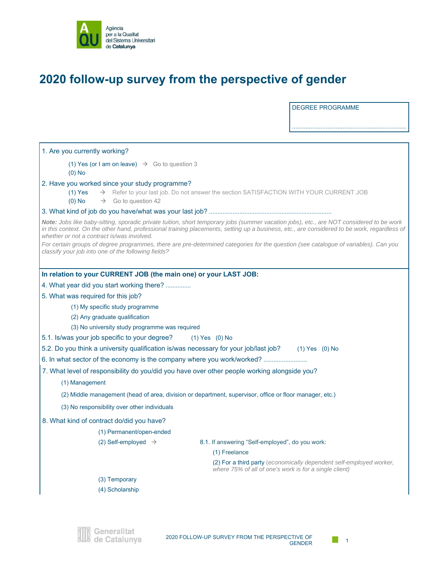

## **2020 follow-up survey from the perspective of gender**

DEGREE PROGRAMME

....................................................................

1. Are you currently working? (1) Yes (or I am on leave)  $\rightarrow$  Go to question 3 (0) No 2. Have you worked since your study programme? (1) Yes  $\rightarrow$  Refer to your last job. Do not answer the section SATISFACTION WITH YOUR CURRENT JOB (0) No  $\rightarrow$  Go to question 42 3. What kind of job do you have/what was your last job? ......................................................................... *Note: Jobs like baby-sitting, sporadic private tuition, short temporary jobs (summer vacation jobs), etc., are NOT considered to be work in this context. On the other hand, professional training placements, setting up a business, etc., are considered to be work, regardless of whether or not a contract is/was involved. For certain groups of degree programmes, there are pre-determined categories for the question (see catalogue of variables). Can you classify your job into one of the following fields?*  **In relation to your CURRENT JOB (the main one) or your LAST JOB:**  4. What year did you start working there? ............... 5. What was required for this job? (1) My specific study programme (2) Any graduate qualification (3) No university study programme was required 5.1. Is/was your job specific to your degree? (1) Yes (0) No 5.2. Do you think a university qualification is/was necessary for your job/last job? (1) Yes (0) No 6. In what sector of the economy is the company where you work/worked? ............................ 7. What level of responsibility do you/did you have over other people working alongside you? (1) Management (2) Middle management (head of area, division or department, supervisor, office or floor manager, etc.) (3) No responsibility over other individuals 8. What kind of contract do/did you have? (1) Permanent/open-ended (2) Self-employed  $\rightarrow$  8.1. If answering "Self-employed", do you work: (1) Freelance (2) For a third party (*economically dependent self-employed worker, where 75% of all of one's work is for a single client)* (3) Temporary (4) Scholarship

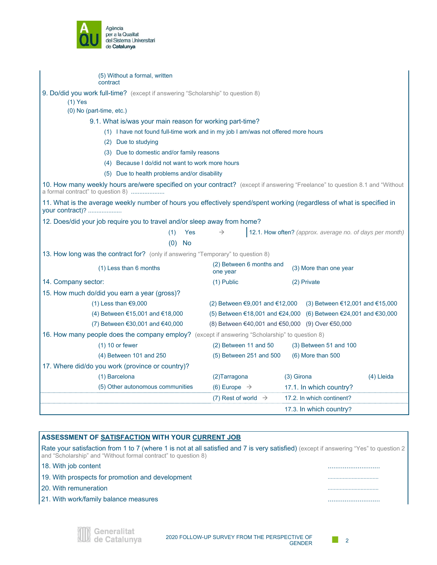

| (5) Without a formal, written<br>contract                                                                                                                         |                                           |                                                          |  |  |  |
|-------------------------------------------------------------------------------------------------------------------------------------------------------------------|-------------------------------------------|----------------------------------------------------------|--|--|--|
| 9. Do/did you work full-time? (except if answering "Scholarship" to question 8)                                                                                   |                                           |                                                          |  |  |  |
| $(1)$ Yes                                                                                                                                                         |                                           |                                                          |  |  |  |
| (0) No (part-time, etc.)                                                                                                                                          |                                           |                                                          |  |  |  |
| 9.1. What is/was your main reason for working part-time?                                                                                                          |                                           |                                                          |  |  |  |
| (1) I have not found full-time work and in my job I am/was not offered more hours                                                                                 |                                           |                                                          |  |  |  |
| (2) Due to studying                                                                                                                                               |                                           |                                                          |  |  |  |
|                                                                                                                                                                   | (3) Due to domestic and/or family reasons |                                                          |  |  |  |
| (4) Because I do/did not want to work more hours                                                                                                                  |                                           |                                                          |  |  |  |
| (5) Due to health problems and/or disability                                                                                                                      |                                           |                                                          |  |  |  |
| 10. How many weekly hours are/were specified on your contract? (except if answering "Freelance" to question 8.1 and "Without<br>a formal contract" to question 8) |                                           |                                                          |  |  |  |
| 11. What is the average weekly number of hours you effectively spend/spent working (regardless of what is specified in<br>your contract)?                         |                                           |                                                          |  |  |  |
| 12. Does/did your job require you to travel and/or sleep away from home?                                                                                          |                                           |                                                          |  |  |  |
| (1)<br>Yes                                                                                                                                                        | $\rightarrow$                             | 12.1. How often? (approx. average no. of days per month) |  |  |  |
| (0)<br><b>No</b>                                                                                                                                                  |                                           |                                                          |  |  |  |
| 13. How long was the contract for? (only if answering "Temporary" to question 8)                                                                                  |                                           |                                                          |  |  |  |
| (1) Less than 6 months                                                                                                                                            | (2) Between 6 months and<br>one year      | (3) More than one year                                   |  |  |  |
| 14. Company sector:                                                                                                                                               | (1) Public                                | (2) Private                                              |  |  |  |
| 15. How much do/did you earn a year (gross)?                                                                                                                      |                                           |                                                          |  |  |  |
| $(1)$ Less than $€9,000$                                                                                                                                          | (2) Between €9,001 and €12,000            | (3) Between €12,001 and €15,000                          |  |  |  |
| (4) Between €15,001 and €18,000                                                                                                                                   | (5) Between €18,001 and €24,000           | (6) Between €24,001 and €30,000                          |  |  |  |
| (7) Between €30,001 and €40,000                                                                                                                                   |                                           | (8) Between €40,001 and €50,000 (9) Over €50,000         |  |  |  |
| 16. How many people does the company employ? (except if answering "Scholarship" to question 8)                                                                    |                                           |                                                          |  |  |  |
| $(1)$ 10 or fewer                                                                                                                                                 | (2) Between 11 and 50                     | $(3)$ Between 51 and 100                                 |  |  |  |
| (4) Between 101 and 250                                                                                                                                           | (5) Between 251 and 500                   | (6) More than 500                                        |  |  |  |
| 17. Where did/do you work (province or country)?                                                                                                                  |                                           |                                                          |  |  |  |
| (1) Barcelona                                                                                                                                                     | (2) Tarragona                             | (3) Girona<br>(4) Lleida                                 |  |  |  |
| (5) Other autonomous communities                                                                                                                                  | (6) Europe $\rightarrow$                  | 17.1. In which country?                                  |  |  |  |
|                                                                                                                                                                   | (7) Rest of world $\rightarrow$           | 17.2. In which continent?                                |  |  |  |
|                                                                                                                                                                   |                                           | 17.3. In which country?                                  |  |  |  |

| ASSESSMENT OF SATISFACTION WITH YOUR CURRENT JOB               |                                                                                                                                       |  |
|----------------------------------------------------------------|---------------------------------------------------------------------------------------------------------------------------------------|--|
| and "Scholarship" and "Without formal contract" to question 8) | Rate your satisfaction from 1 to 7 (where 1 is not at all satisfied and 7 is very satisfied) (except if answering "Yes" to question 2 |  |
| 18. With job content                                           |                                                                                                                                       |  |
| 19. With prospects for promotion and development               |                                                                                                                                       |  |
| l 20. With remuneration.                                       |                                                                                                                                       |  |
| 21. With work/family balance measures                          |                                                                                                                                       |  |
|                                                                |                                                                                                                                       |  |
|                                                                |                                                                                                                                       |  |
| Generalitat<br>de Catalunya                                    | 2020 FOLLOW-UP SURVEY FROM THE PERSPECTIVE OF<br>GENDER                                                                               |  |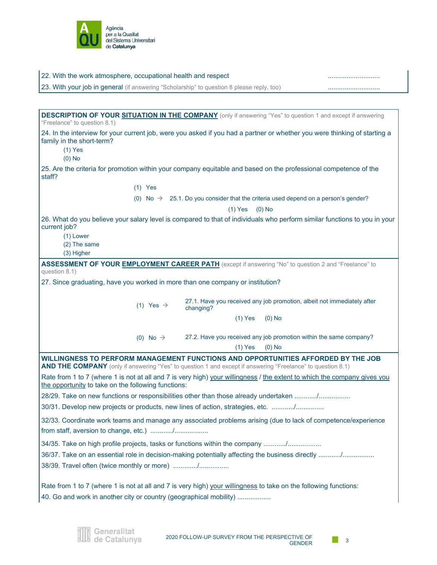

| 22. With the work atmosphere, occupational health and respect                                                                                                                                    |                       |                                                                                                |          |  |
|--------------------------------------------------------------------------------------------------------------------------------------------------------------------------------------------------|-----------------------|------------------------------------------------------------------------------------------------|----------|--|
| 23. With your job in general (if answering "Scholarship" to question 8 please reply, too)                                                                                                        |                       |                                                                                                |          |  |
|                                                                                                                                                                                                  |                       |                                                                                                |          |  |
| <b>DESCRIPTION OF YOUR SITUATION IN THE COMPANY</b> (only if answering "Yes" to question 1 and except if answering<br>"Freelance" to question 8.1)                                               |                       |                                                                                                |          |  |
| 24. In the interview for your current job, were you asked if you had a partner or whether you were thinking of starting a<br>family in the short-term?<br>$(1)$ Yes<br>$(0)$ No                  |                       |                                                                                                |          |  |
| 25. Are the criteria for promotion within your company equitable and based on the professional competence of the<br>staff?                                                                       |                       |                                                                                                |          |  |
|                                                                                                                                                                                                  | $(1)$ Yes             |                                                                                                |          |  |
|                                                                                                                                                                                                  |                       | (0) No $\rightarrow$ 25.1. Do you consider that the criteria used depend on a person's gender? |          |  |
|                                                                                                                                                                                                  |                       | $(1)$ Yes                                                                                      | $(0)$ No |  |
| 26. What do you believe your salary level is compared to that of individuals who perform similar functions to you in your<br>current job?<br>(1) Lower<br>(2) The same<br>(3) Higher             |                       |                                                                                                |          |  |
| ASSESSMENT OF YOUR <b>EMPLOYMENT CAREER PATH</b> (except if answering "No" to question 2 and "Freelance" to                                                                                      |                       |                                                                                                |          |  |
| question 8.1)                                                                                                                                                                                    |                       |                                                                                                |          |  |
| 27. Since graduating, have you worked in more than one company or institution?                                                                                                                   |                       |                                                                                                |          |  |
|                                                                                                                                                                                                  | (1) Yes $\rightarrow$ | 27.1. Have you received any job promotion, albeit not immediately after<br>changing?           |          |  |
|                                                                                                                                                                                                  |                       | $(1)$ Yes                                                                                      | $(0)$ No |  |
|                                                                                                                                                                                                  | (0) No $\rightarrow$  | 27.2. Have you received any job promotion within the same company?<br>$(1)$ Yes                | $(0)$ No |  |
| WILLINGNESS TO PERFORM MANAGEMENT FUNCTIONS AND OPPORTUNITIES AFFORDED BY THE JOB<br>AND THE COMPANY (only if answering "Yes" to question 1 and except if answering "Freelance" to question 8.1) |                       |                                                                                                |          |  |
| Rate from 1 to 7 (where 1 is not at all and 7 is very high) your willingness / the extent to which the company gives you<br>the opportunity to take on the following functions:                  |                       |                                                                                                |          |  |
| 28/29. Take on new functions or responsibilities other than those already undertaken /                                                                                                           |                       |                                                                                                |          |  |
| 30/31. Develop new projects or products, new lines of action, strategies, etc. /                                                                                                                 |                       |                                                                                                |          |  |
| 32/33. Coordinate work teams and manage any associated problems arising (due to lack of competence/experience                                                                                    |                       |                                                                                                |          |  |
| 34/35. Take on high profile projects, tasks or functions within the company /                                                                                                                    |                       |                                                                                                |          |  |
| 36/37. Take on an essential role in decision-making potentially affecting the business directly /                                                                                                |                       |                                                                                                |          |  |
| 38/39. Travel often (twice monthly or more) /                                                                                                                                                    |                       |                                                                                                |          |  |
| Rate from 1 to 7 (where 1 is not at all and 7 is very high) your willingness to take on the following functions:                                                                                 |                       |                                                                                                |          |  |
| 40. Go and work in another city or country (geographical mobility)                                                                                                                               |                       |                                                                                                |          |  |
|                                                                                                                                                                                                  |                       |                                                                                                |          |  |

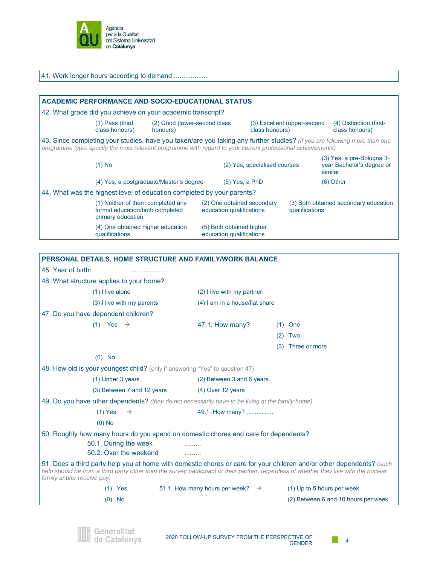

de Catalunya

| 41. Work longer hours according to demand                                                                  |                                           |                                                      |                                                        |                             |                                                                                                                           |  |
|------------------------------------------------------------------------------------------------------------|-------------------------------------------|------------------------------------------------------|--------------------------------------------------------|-----------------------------|---------------------------------------------------------------------------------------------------------------------------|--|
|                                                                                                            |                                           |                                                      |                                                        |                             |                                                                                                                           |  |
| <b>ACADEMIC PERFORMANCE AND SOCIO-EDUCATIONAL STATUS</b>                                                   |                                           |                                                      |                                                        |                             |                                                                                                                           |  |
| 42. What grade did you achieve on your academic transcript?                                                |                                           |                                                      |                                                        |                             |                                                                                                                           |  |
| $(1)$ Pass (third<br>class honours)                                                                        | (2) Good (lower-second class)<br>honours) |                                                      | class honours)                                         | (3) Excellent (upper-second | (4) Distinction (first-<br>class honours)                                                                                 |  |
| programme type, specify the most relevant programme with regard to your current professional achievements) |                                           |                                                      |                                                        |                             | 43. Since completing your studies, have you taken/are you taking any further studies? (if you are following more than one |  |
| $(1)$ No                                                                                                   |                                           |                                                      | (2) Yes, specialised courses                           |                             | (3) Yes, a pre-Bologna 3-<br>year Bachelor's degree or<br>similar                                                         |  |
|                                                                                                            | (4) Yes, a postgraduate/Master's degree   |                                                      | $(5)$ Yes, a PhD                                       |                             | $(6)$ Other                                                                                                               |  |
| 44. What was the highest level of education completed by your parents?                                     |                                           |                                                      |                                                        |                             |                                                                                                                           |  |
| (1) Neither of them completed any<br>formal education/both completed<br>primary education                  |                                           |                                                      | (2) One obtained secondary<br>education qualifications |                             | (3) Both obtained secondary education<br>qualifications                                                                   |  |
| (4) One obtained higher education<br>qualifications                                                        |                                           | (5) Both obtained higher<br>education qualifications |                                                        |                             |                                                                                                                           |  |

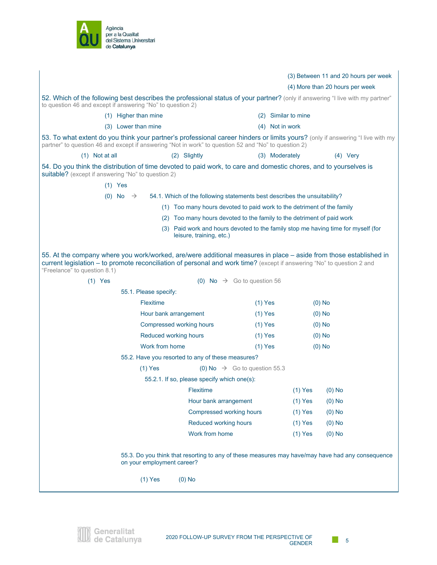

|                                                                                                                                                                                                                                                                                          |                                                                                                               |           |                     | (3) Between 11 and 20 hours per week |
|------------------------------------------------------------------------------------------------------------------------------------------------------------------------------------------------------------------------------------------------------------------------------------------|---------------------------------------------------------------------------------------------------------------|-----------|---------------------|--------------------------------------|
|                                                                                                                                                                                                                                                                                          |                                                                                                               |           |                     | (4) More than 20 hours per week      |
| 52. Which of the following best describes the professional status of your partner? (only if answering "I live with my partner"                                                                                                                                                           |                                                                                                               |           |                     |                                      |
| to question 46 and except if answering "No" to question 2)                                                                                                                                                                                                                               |                                                                                                               |           |                     |                                      |
| (1) Higher than mine                                                                                                                                                                                                                                                                     |                                                                                                               |           | (2) Similar to mine |                                      |
| (3) Lower than mine                                                                                                                                                                                                                                                                      |                                                                                                               |           | (4) Not in work     |                                      |
| 53. To what extent do you think your partner's professional career hinders or limits yours? (only if answering "I live with my<br>partner" to question 46 and except if answering "Not in work" to question 52 and "No" to question 2)                                                   |                                                                                                               |           |                     |                                      |
| $(1)$ Not at all                                                                                                                                                                                                                                                                         | (2) Slightly                                                                                                  |           | (3) Moderately      | $(4)$ Very                           |
| 54. Do you think the distribution of time devoted to paid work, to care and domestic chores, and to yourselves is<br>suitable? (except if answering "No" to question 2)                                                                                                                  |                                                                                                               |           |                     |                                      |
| $(1)$ Yes                                                                                                                                                                                                                                                                                |                                                                                                               |           |                     |                                      |
| $(0)$ No $\rightarrow$                                                                                                                                                                                                                                                                   | 54.1. Which of the following statements best describes the unsuitability?                                     |           |                     |                                      |
|                                                                                                                                                                                                                                                                                          | (1) Too many hours devoted to paid work to the detriment of the family                                        |           |                     |                                      |
|                                                                                                                                                                                                                                                                                          | (2) Too many hours devoted to the family to the detriment of paid work                                        |           |                     |                                      |
|                                                                                                                                                                                                                                                                                          | (3) Paid work and hours devoted to the family stop me having time for myself (for<br>leisure, training, etc.) |           |                     |                                      |
| 55. At the company where you work/worked, are/were additional measures in place – aside from those established in<br>current legislation - to promote reconciliation of personal and work time? (except if answering "No" to question 2 and<br>"Freelance" to question 8.1)<br>$(1)$ Yes | (0) No $\rightarrow$ Go to question 56                                                                        |           |                     |                                      |
| 55.1. Please specify:                                                                                                                                                                                                                                                                    |                                                                                                               |           |                     |                                      |
| Flexitime                                                                                                                                                                                                                                                                                |                                                                                                               | $(1)$ Yes |                     | $(0)$ No                             |
|                                                                                                                                                                                                                                                                                          | Hour bank arrangement                                                                                         | $(1)$ Yes |                     | $(0)$ No                             |
| Compressed working hours                                                                                                                                                                                                                                                                 |                                                                                                               | $(1)$ Yes | $(0)$ No            |                                      |
| Reduced working hours                                                                                                                                                                                                                                                                    |                                                                                                               | $(1)$ Yes |                     | $(0)$ No                             |
| Work from home                                                                                                                                                                                                                                                                           |                                                                                                               | $(1)$ Yes |                     | $(0)$ No                             |
|                                                                                                                                                                                                                                                                                          | 55.2. Have you resorted to any of these measures?                                                             |           |                     |                                      |
| $(1)$ Yes                                                                                                                                                                                                                                                                                | (0) No $\rightarrow$ Go to question 55.3                                                                      |           |                     |                                      |
|                                                                                                                                                                                                                                                                                          | 55.2.1. If so, please specify which one(s):                                                                   |           |                     |                                      |
|                                                                                                                                                                                                                                                                                          | Flexitime                                                                                                     |           | $(1)$ Yes           | $(0)$ No                             |
|                                                                                                                                                                                                                                                                                          | Hour bank arrangement                                                                                         |           | $(1)$ Yes           | $(0)$ No                             |
|                                                                                                                                                                                                                                                                                          | Compressed working hours                                                                                      |           | $(1)$ Yes           | $(0)$ No                             |
|                                                                                                                                                                                                                                                                                          | Reduced working hours                                                                                         |           | $(1)$ Yes           | $(0)$ No                             |
|                                                                                                                                                                                                                                                                                          | Work from home                                                                                                |           | $(1)$ Yes           | $(0)$ No                             |
| on your employment career?                                                                                                                                                                                                                                                               | 55.3. Do you think that resorting to any of these measures may have/may have had any consequence              |           |                     |                                      |
| $(1)$ Yes                                                                                                                                                                                                                                                                                | $(0)$ No                                                                                                      |           |                     |                                      |